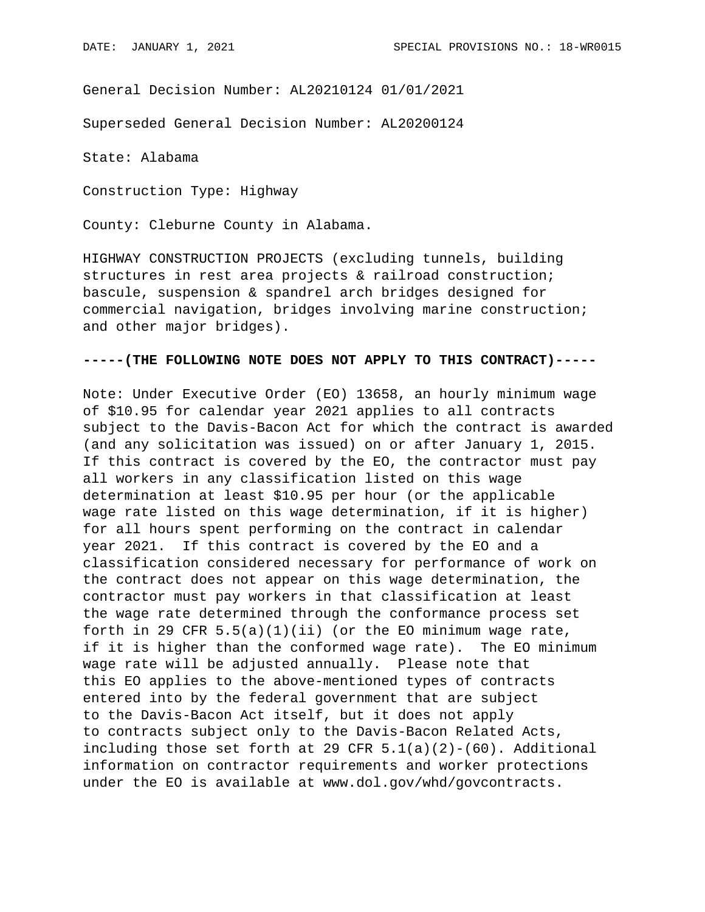General Decision Number: AL20210124 01/01/2021

Superseded General Decision Number: AL20200124

State: Alabama

Construction Type: Highway

County: Cleburne County in Alabama.

HIGHWAY CONSTRUCTION PROJECTS (excluding tunnels, building structures in rest area projects & railroad construction; bascule, suspension & spandrel arch bridges designed for commercial navigation, bridges involving marine construction; and other major bridges).

## **-----(THE FOLLOWING NOTE DOES NOT APPLY TO THIS CONTRACT)-----**

Note: Under Executive Order (EO) 13658, an hourly minimum wage of \$10.95 for calendar year 2021 applies to all contracts subject to the Davis-Bacon Act for which the contract is awarded (and any solicitation was issued) on or after January 1, 2015. If this contract is covered by the EO, the contractor must pay all workers in any classification listed on this wage determination at least \$10.95 per hour (or the applicable wage rate listed on this wage determination, if it is higher) for all hours spent performing on the contract in calendar year 2021. If this contract is covered by the EO and a classification considered necessary for performance of work on the contract does not appear on this wage determination, the contractor must pay workers in that classification at least the wage rate determined through the conformance process set forth in 29 CFR  $5.5(a)(1)(ii)$  (or the EO minimum wage rate, if it is higher than the conformed wage rate). The EO minimum wage rate will be adjusted annually. Please note that this EO applies to the above-mentioned types of contracts entered into by the federal government that are subject to the Davis-Bacon Act itself, but it does not apply to contracts subject only to the Davis-Bacon Related Acts, including those set forth at 29 CFR  $5.1(a)(2)-(60)$ . Additional information on contractor requirements and worker protections under the EO is available at www.dol.gov/whd/govcontracts.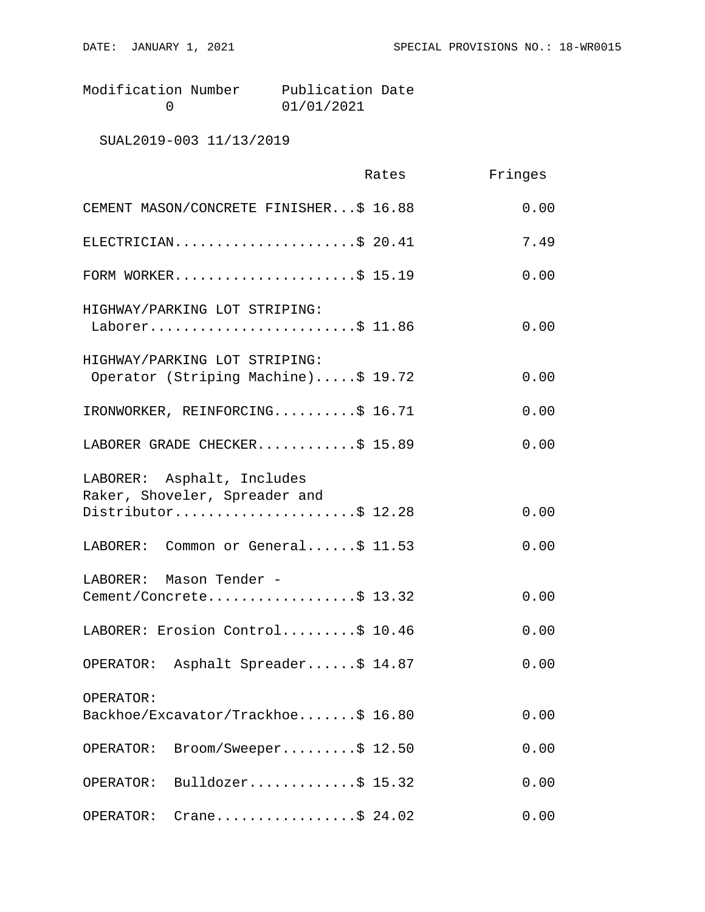Modification Number Publication Date<br>0 01/01/2021 0 01/01/2021

SUAL2019-003 11/13/2019

|                                                                      | Rates | Fringes |
|----------------------------------------------------------------------|-------|---------|
| CEMENT MASON/CONCRETE FINISHER\$ 16.88                               |       | 0.00    |
| ELECTRICIAN\$ 20.41                                                  |       | 7.49    |
| FORM WORKER\$ 15.19                                                  |       | 0.00    |
| HIGHWAY/PARKING LOT STRIPING:<br>Laborer\$ 11.86                     |       | 0.00    |
| HIGHWAY/PARKING LOT STRIPING:<br>Operator (Striping Machine)\$ 19.72 |       | 0.00    |
| IRONWORKER, REINFORCING\$ 16.71                                      |       | 0.00    |
| LABORER GRADE CHECKER\$ 15.89                                        |       | 0.00    |
| LABORER: Asphalt, Includes<br>Raker, Shoveler, Spreader and          |       |         |
| Distributor\$ 12.28                                                  |       | 0.00    |
| LABORER: Common or General\$ 11.53                                   |       | 0.00    |
| LABORER: Mason Tender -<br>Cement/Concrete\$ 13.32                   |       | 0.00    |
| LABORER: Erosion Control\$ 10.46                                     |       | 0.00    |
| OPERATOR: Asphalt Spreader\$ 14.87                                   |       | 0.00    |
| OPERATOR:<br>Backhoe/Excavator/Trackhoe\$ 16.80                      |       | 0.00    |
| Broom/Sweeper\$ 12.50<br>OPERATOR:                                   |       | 0.00    |
| Bulldozer\$ $15.32$<br>OPERATOR:                                     |       | 0.00    |
| Crane\$ 24.02<br>OPERATOR:                                           |       | 0.00    |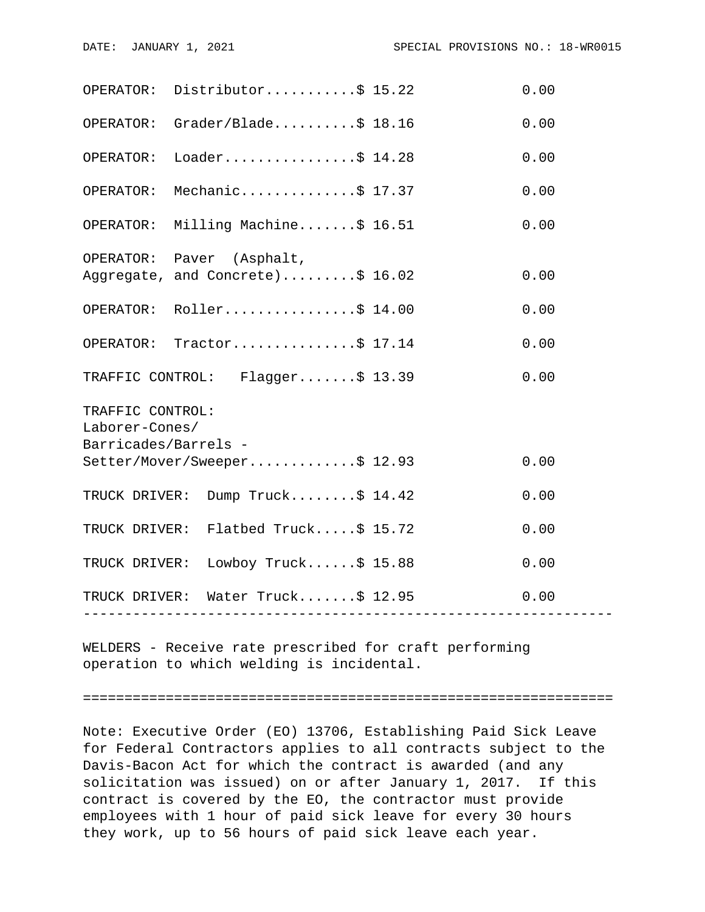|                                                            | OPERATOR: Distributor\$ 15.22                                              |  | 0.00 |  |
|------------------------------------------------------------|----------------------------------------------------------------------------|--|------|--|
|                                                            | OPERATOR: Grader/Blade\$ 18.16                                             |  | 0.00 |  |
| OPERATOR:                                                  | Loader\$ 14.28                                                             |  | 0.00 |  |
| OPERATOR:                                                  | Mechanic\$ 17.37                                                           |  | 0.00 |  |
| OPERATOR:                                                  | Milling Machine\$ 16.51                                                    |  | 0.00 |  |
|                                                            | OPERATOR: Paver (Asphalt,<br>Aggregate, and Concrete)\$ 16.02              |  | 0.00 |  |
|                                                            | OPERATOR: Roller\$ 14.00                                                   |  | 0.00 |  |
|                                                            | OPERATOR: Tractor\$ 17.14                                                  |  | 0.00 |  |
|                                                            | TRAFFIC CONTROL: Flagger\$ 13.39                                           |  | 0.00 |  |
| TRAFFIC CONTROL:<br>Laborer-Cones/<br>Barricades/Barrels - |                                                                            |  |      |  |
|                                                            | Setter/Mover/Sweeper\$ 12.93                                               |  | 0.00 |  |
|                                                            | TRUCK DRIVER: Dump Truck\$ 14.42                                           |  | 0.00 |  |
|                                                            | TRUCK DRIVER: Flatbed Truck\$ 15.72                                        |  | 0.00 |  |
|                                                            | TRUCK DRIVER: Lowboy Truck\$ 15.88                                         |  | 0.00 |  |
|                                                            | TRUCK DRIVER: Water Truck\$ 12.95<br>------------------------------------- |  | 0.00 |  |
|                                                            |                                                                            |  |      |  |

WELDERS - Receive rate prescribed for craft performing operation to which welding is incidental.

================================================================

Note: Executive Order (EO) 13706, Establishing Paid Sick Leave for Federal Contractors applies to all contracts subject to the Davis-Bacon Act for which the contract is awarded (and any solicitation was issued) on or after January 1, 2017. If this contract is covered by the EO, the contractor must provide employees with 1 hour of paid sick leave for every 30 hours they work, up to 56 hours of paid sick leave each year.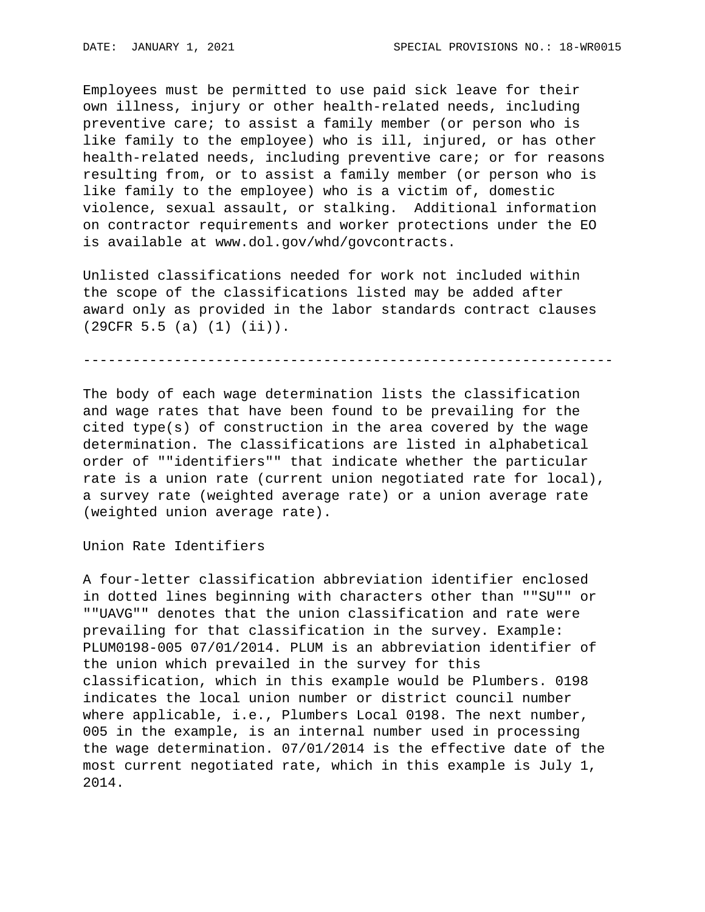Employees must be permitted to use paid sick leave for their own illness, injury or other health-related needs, including preventive care; to assist a family member (or person who is like family to the employee) who is ill, injured, or has other health-related needs, including preventive care; or for reasons resulting from, or to assist a family member (or person who is like family to the employee) who is a victim of, domestic violence, sexual assault, or stalking. Additional information on contractor requirements and worker protections under the EO is available at www.dol.gov/whd/govcontracts.

Unlisted classifications needed for work not included within the scope of the classifications listed may be added after award only as provided in the labor standards contract clauses (29CFR 5.5 (a) (1) (ii)).

----------------------------------------------------------------

The body of each wage determination lists the classification and wage rates that have been found to be prevailing for the cited type(s) of construction in the area covered by the wage determination. The classifications are listed in alphabetical order of ""identifiers"" that indicate whether the particular rate is a union rate (current union negotiated rate for local), a survey rate (weighted average rate) or a union average rate (weighted union average rate).

Union Rate Identifiers

A four-letter classification abbreviation identifier enclosed in dotted lines beginning with characters other than ""SU"" or ""UAVG"" denotes that the union classification and rate were prevailing for that classification in the survey. Example: PLUM0198-005 07/01/2014. PLUM is an abbreviation identifier of the union which prevailed in the survey for this classification, which in this example would be Plumbers. 0198 indicates the local union number or district council number where applicable, i.e., Plumbers Local 0198. The next number, 005 in the example, is an internal number used in processing the wage determination. 07/01/2014 is the effective date of the most current negotiated rate, which in this example is July 1, 2014.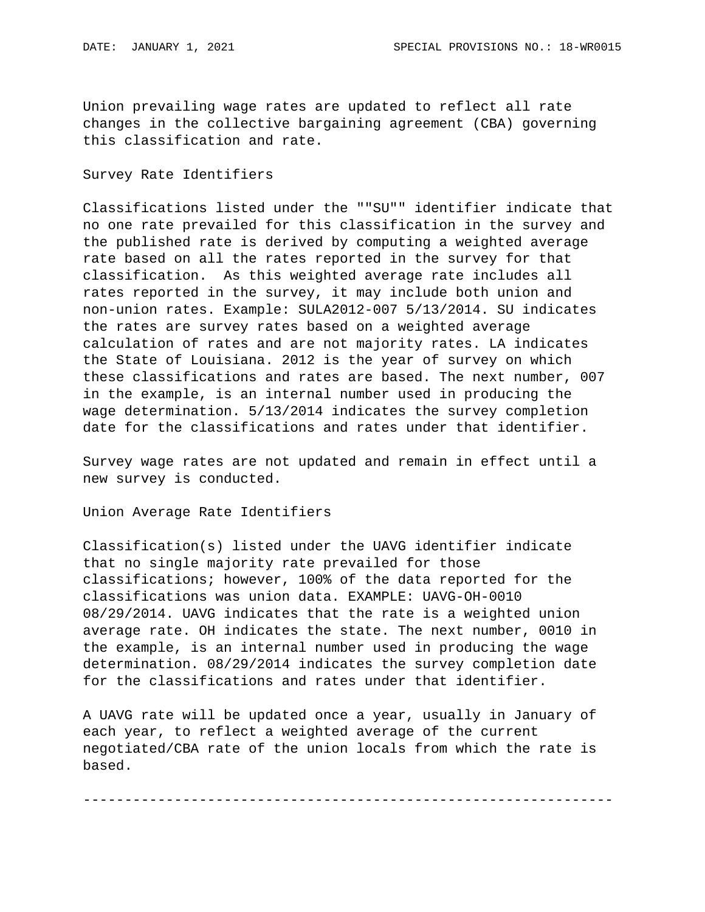Union prevailing wage rates are updated to reflect all rate changes in the collective bargaining agreement (CBA) governing this classification and rate.

## Survey Rate Identifiers

Classifications listed under the ""SU"" identifier indicate that no one rate prevailed for this classification in the survey and the published rate is derived by computing a weighted average rate based on all the rates reported in the survey for that classification. As this weighted average rate includes all rates reported in the survey, it may include both union and non-union rates. Example: SULA2012-007 5/13/2014. SU indicates the rates are survey rates based on a weighted average calculation of rates and are not majority rates. LA indicates the State of Louisiana. 2012 is the year of survey on which these classifications and rates are based. The next number, 007 in the example, is an internal number used in producing the wage determination. 5/13/2014 indicates the survey completion date for the classifications and rates under that identifier.

Survey wage rates are not updated and remain in effect until a new survey is conducted.

Union Average Rate Identifiers

Classification(s) listed under the UAVG identifier indicate that no single majority rate prevailed for those classifications; however, 100% of the data reported for the classifications was union data. EXAMPLE: UAVG-OH-0010 08/29/2014. UAVG indicates that the rate is a weighted union average rate. OH indicates the state. The next number, 0010 in the example, is an internal number used in producing the wage determination. 08/29/2014 indicates the survey completion date for the classifications and rates under that identifier.

A UAVG rate will be updated once a year, usually in January of each year, to reflect a weighted average of the current negotiated/CBA rate of the union locals from which the rate is based.

----------------------------------------------------------------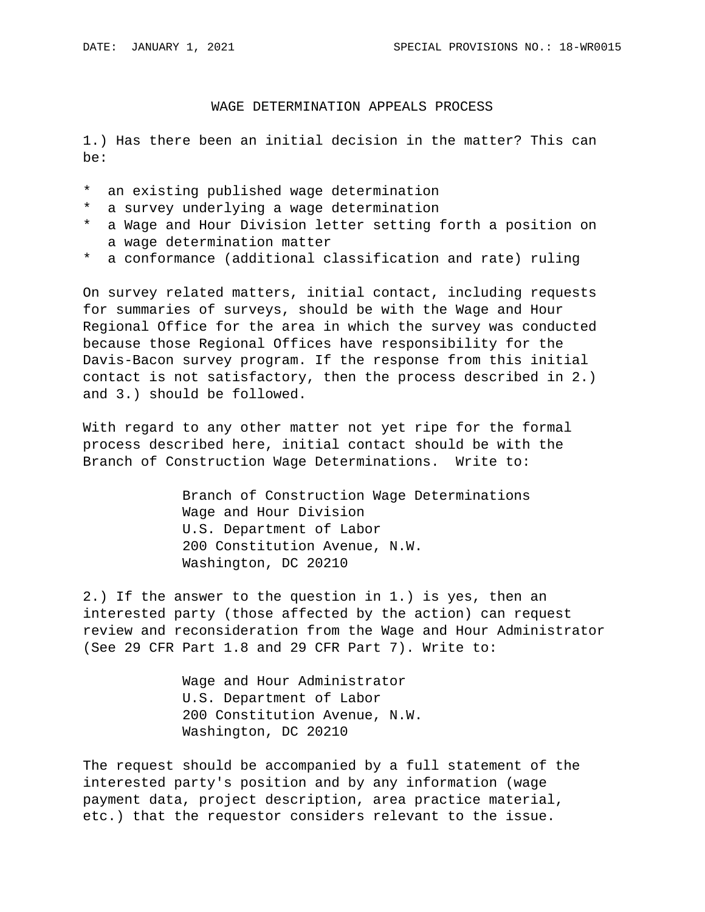## WAGE DETERMINATION APPEALS PROCESS

1.) Has there been an initial decision in the matter? This can be:

- \* an existing published wage determination
- \* a survey underlying a wage determination
- \* a Wage and Hour Division letter setting forth a position on a wage determination matter
- \* a conformance (additional classification and rate) ruling

On survey related matters, initial contact, including requests for summaries of surveys, should be with the Wage and Hour Regional Office for the area in which the survey was conducted because those Regional Offices have responsibility for the Davis-Bacon survey program. If the response from this initial contact is not satisfactory, then the process described in 2.) and 3.) should be followed.

With regard to any other matter not yet ripe for the formal process described here, initial contact should be with the Branch of Construction Wage Determinations. Write to:

> Branch of Construction Wage Determinations Wage and Hour Division U.S. Department of Labor 200 Constitution Avenue, N.W. Washington, DC 20210

2.) If the answer to the question in 1.) is yes, then an interested party (those affected by the action) can request review and reconsideration from the Wage and Hour Administrator (See 29 CFR Part 1.8 and 29 CFR Part 7). Write to:

> Wage and Hour Administrator U.S. Department of Labor 200 Constitution Avenue, N.W. Washington, DC 20210

The request should be accompanied by a full statement of the interested party's position and by any information (wage payment data, project description, area practice material, etc.) that the requestor considers relevant to the issue.